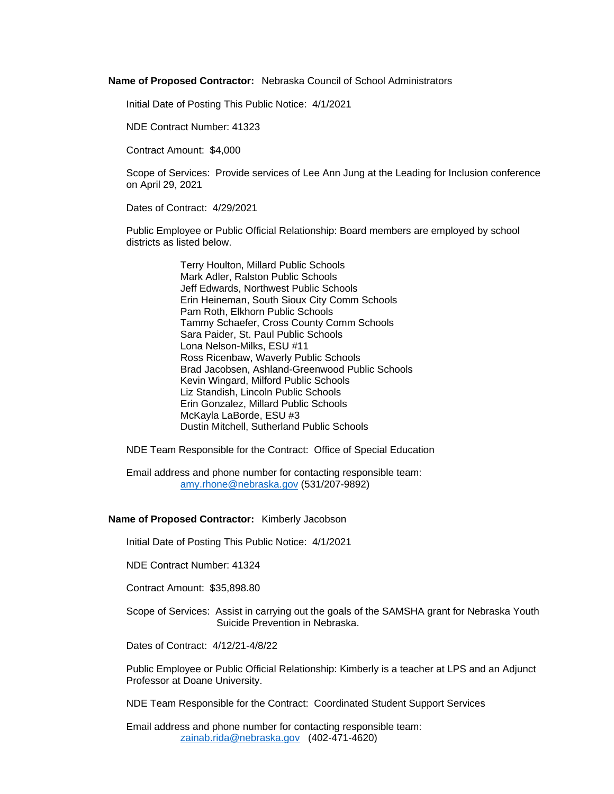**Name of Proposed Contractor:** Nebraska Council of School Administrators

Initial Date of Posting This Public Notice: 4/1/2021

NDE Contract Number: 41323

Contract Amount: \$4,000

Scope of Services: Provide services of Lee Ann Jung at the Leading for Inclusion conference on April 29, 2021

Dates of Contract: 4/29/2021

Public Employee or Public Official Relationship: Board members are employed by school districts as listed below.

> Terry Houlton, Millard Public Schools Mark Adler, Ralston Public Schools Jeff Edwards, Northwest Public Schools Erin Heineman, South Sioux City Comm Schools Pam Roth, Elkhorn Public Schools Tammy Schaefer, Cross County Comm Schools Sara Paider, St. Paul Public Schools Lona Nelson-Milks, ESU #11 Ross Ricenbaw, Waverly Public Schools Brad Jacobsen, Ashland-Greenwood Public Schools Kevin Wingard, Milford Public Schools Liz Standish, Lincoln Public Schools Erin Gonzalez, Millard Public Schools McKayla LaBorde, ESU #3 Dustin Mitchell, Sutherland Public Schools

NDE Team Responsible for the Contract: Office of Special Education

Email address and phone number for contacting responsible team: [amy.rhone@nebraska.gov](mailto:amy.rhone@nebraska.gov) (531/207-9892)

## **Name of Proposed Contractor:** Kimberly Jacobson

Initial Date of Posting This Public Notice: 4/1/2021

NDE Contract Number: 41324

Contract Amount: \$35,898.80

Scope of Services: Assist in carrying out the goals of the SAMSHA grant for Nebraska Youth Suicide Prevention in Nebraska.

Dates of Contract: 4/12/21-4/8/22

Public Employee or Public Official Relationship: Kimberly is a teacher at LPS and an Adjunct Professor at Doane University.

NDE Team Responsible for the Contract: Coordinated Student Support Services

Email address and phone number for contacting responsible team: [zainab.rida@nebraska.gov](mailto:zainab.rida@nebraska.gov) (402-471-4620)